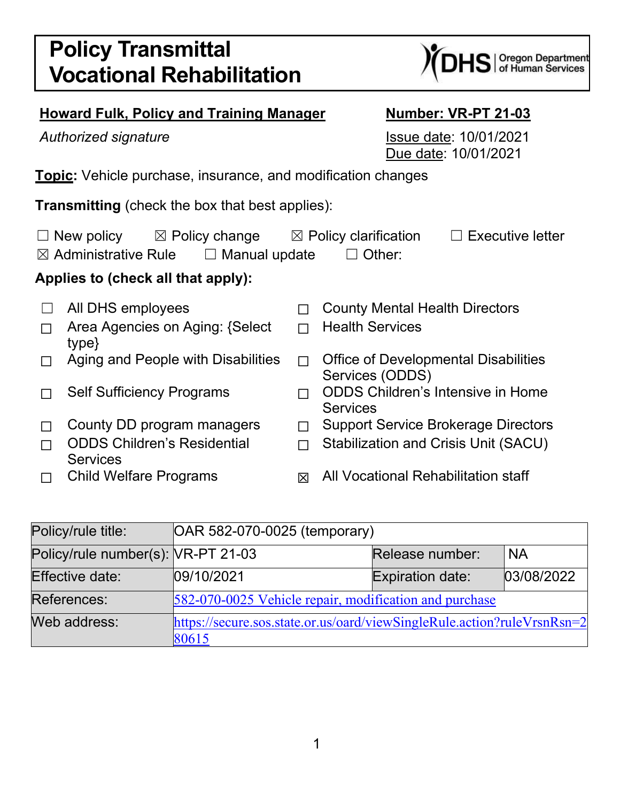# **Policy Transmittal Vocational Rehabilitation**

# **Howard Fulk, Policy and Training Manager Mumber: VR-PT 21-03**

Authorized signature **Issue date:** 10/01/2021 Due date: 10/01/2021

**Topic:** Vehicle purchase, insurance, and modification changes

**Transmitting** (check the box that best applies):

| $\Box$ New policy<br>$\boxtimes$ Policy change                           |                                                       |   | $\boxtimes$ Policy clarification<br><b>Executive letter</b>    |  |  |  |  |
|--------------------------------------------------------------------------|-------------------------------------------------------|---|----------------------------------------------------------------|--|--|--|--|
| $\boxtimes$ Administrative Rule<br>$\Box$ Other:<br>$\Box$ Manual update |                                                       |   |                                                                |  |  |  |  |
| Applies to (check all that apply):                                       |                                                       |   |                                                                |  |  |  |  |
|                                                                          | All DHS employees                                     |   | <b>County Mental Health Directors</b>                          |  |  |  |  |
|                                                                          | Area Agencies on Aging: {Select}<br>type}             |   | <b>Health Services</b>                                         |  |  |  |  |
|                                                                          | Aging and People with Disabilities                    |   | <b>Office of Developmental Disabilities</b><br>Services (ODDS) |  |  |  |  |
|                                                                          | <b>Self Sufficiency Programs</b>                      |   | <b>ODDS Children's Intensive in Home</b><br><b>Services</b>    |  |  |  |  |
|                                                                          | County DD program managers                            |   | <b>Support Service Brokerage Directors</b>                     |  |  |  |  |
|                                                                          | <b>ODDS Children's Residential</b><br><b>Services</b> |   | <b>Stabilization and Crisis Unit (SACU)</b>                    |  |  |  |  |
|                                                                          | <b>Child Welfare Programs</b>                         | 冈 | All Vocational Rehabilitation staff                            |  |  |  |  |

| Policy/rule title:                 | OAR 582-070-0025 (temporary)                                                     |                         |            |  |  |
|------------------------------------|----------------------------------------------------------------------------------|-------------------------|------------|--|--|
| Policy/rule number(s): VR-PT 21-03 |                                                                                  | Release number:         | <b>NA</b>  |  |  |
| Effective date:                    | 09/10/2021                                                                       | <b>Expiration date:</b> | 03/08/2022 |  |  |
| References:                        | 582-070-0025 Vehicle repair, modification and purchase                           |                         |            |  |  |
| Web address:                       | https://secure.sos.state.or.us/oard/viewSingleRule.action?ruleVrsnRsn=2<br>80615 |                         |            |  |  |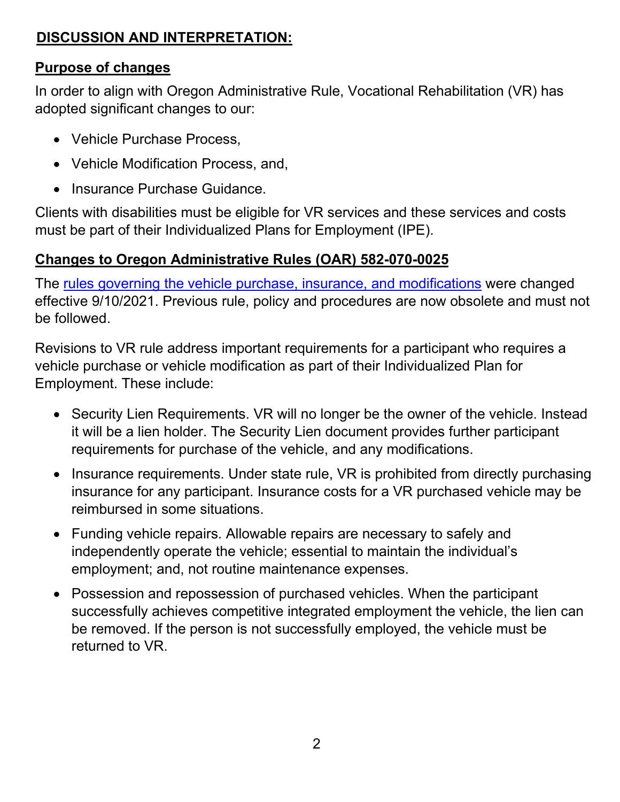## **DISCUSSION AND INTERPRETATION:**

#### **Purpose of changes**

In order to align with Oregon Administrative Rule, Vocational Rehabilitation (VR) has adopted significant changes to our:

- Vehicle Purchase Process,
- Vehicle Modification Process, and,
- Insurance Purchase Guidance.

Clients with disabilities must be eligible for VR services and these services and costs must be part of their Individualized Plans for Employment (IPE).

#### **Changes to Oregon Administrative Rules (OAR) 582-070-0025**

The [rules governing the vehicle purchase, insurance, and modifications](https://secure.sos.state.or.us/oard/viewSingleRule.action?ruleVrsnRsn=280615) were changed effective 9/10/2021. Previous rule, policy and procedures are now obsolete and must not be followed.

Revisions to VR rule address important requirements for a participant who requires a vehicle purchase or vehicle modification as part of their Individualized Plan for Employment. These include:

- Security Lien Requirements. VR will no longer be the owner of the vehicle. Instead it will be a lien holder. The Security Lien document provides further participant requirements for purchase of the vehicle, and any modifications.
- Insurance requirements. Under state rule, VR is prohibited from directly purchasing insurance for any participant. Insurance costs for a VR purchased vehicle may be reimbursed in some situations.
- Funding vehicle repairs. Allowable repairs are necessary to safely and independently operate the vehicle; essential to maintain the individual's employment; and, not routine maintenance expenses.
- Possession and repossession of purchased vehicles. When the participant successfully achieves competitive integrated employment the vehicle, the lien can be removed. If the person is not successfully employed, the vehicle must be returned to VR.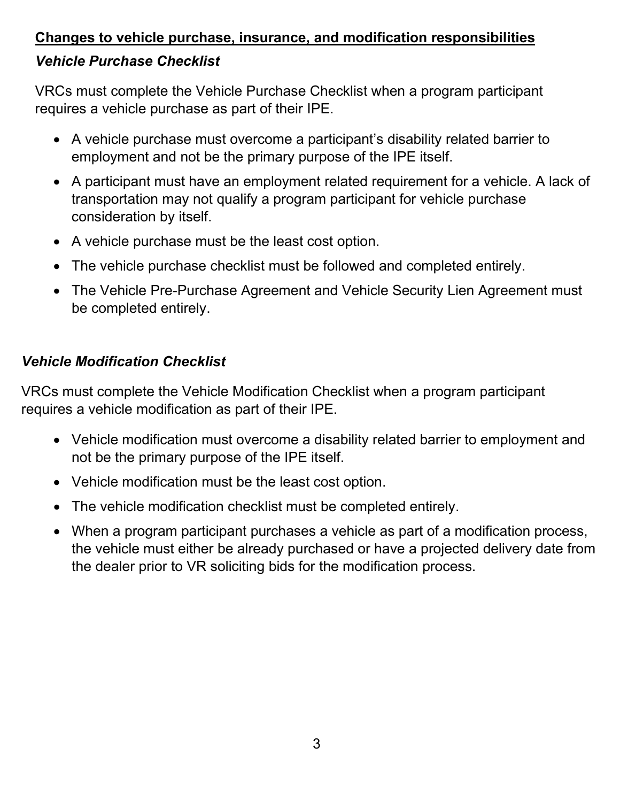# **Changes to vehicle purchase, insurance, and modification responsibilities** *Vehicle Purchase Checklist*

VRCs must complete the Vehicle Purchase Checklist when a program participant requires a vehicle purchase as part of their IPE.

- A vehicle purchase must overcome a participant's disability related barrier to employment and not be the primary purpose of the IPE itself.
- A participant must have an employment related requirement for a vehicle. A lack of transportation may not qualify a program participant for vehicle purchase consideration by itself.
- A vehicle purchase must be the least cost option.
- The vehicle purchase checklist must be followed and completed entirely.
- The Vehicle Pre-Purchase Agreement and Vehicle Security Lien Agreement must be completed entirely.

# *Vehicle Modification Checklist*

VRCs must complete the Vehicle Modification Checklist when a program participant requires a vehicle modification as part of their IPE.

- Vehicle modification must overcome a disability related barrier to employment and not be the primary purpose of the IPE itself.
- Vehicle modification must be the least cost option.
- The vehicle modification checklist must be completed entirely.
- When a program participant purchases a vehicle as part of a modification process, the vehicle must either be already purchased or have a projected delivery date from the dealer prior to VR soliciting bids for the modification process.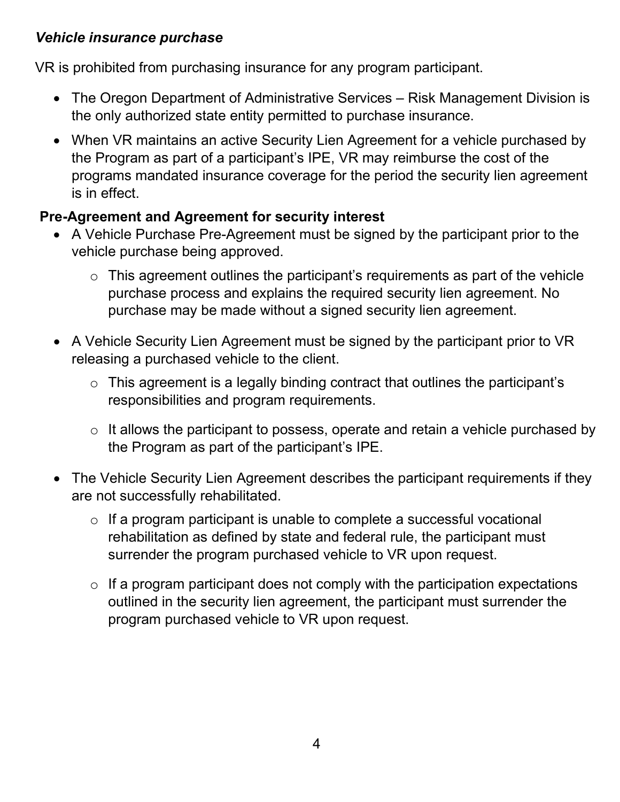#### *Vehicle insurance purchase*

VR is prohibited from purchasing insurance for any program participant.

- The Oregon Department of Administrative Services Risk Management Division is the only authorized state entity permitted to purchase insurance.
- When VR maintains an active Security Lien Agreement for a vehicle purchased by the Program as part of a participant's IPE, VR may reimburse the cost of the programs mandated insurance coverage for the period the security lien agreement is in effect.

#### **Pre-Agreement and Agreement for security interest**

- A Vehicle Purchase Pre-Agreement must be signed by the participant prior to the vehicle purchase being approved.
	- $\circ$  This agreement outlines the participant's requirements as part of the vehicle purchase process and explains the required security lien agreement. No purchase may be made without a signed security lien agreement.
- A Vehicle Security Lien Agreement must be signed by the participant prior to VR releasing a purchased vehicle to the client.
	- o This agreement is a legally binding contract that outlines the participant's responsibilities and program requirements.
	- o It allows the participant to possess, operate and retain a vehicle purchased by the Program as part of the participant's IPE.
- The Vehicle Security Lien Agreement describes the participant requirements if they are not successfully rehabilitated.
	- $\circ$  If a program participant is unable to complete a successful vocational rehabilitation as defined by state and federal rule, the participant must surrender the program purchased vehicle to VR upon request.
	- $\circ$  If a program participant does not comply with the participation expectations outlined in the security lien agreement, the participant must surrender the program purchased vehicle to VR upon request.